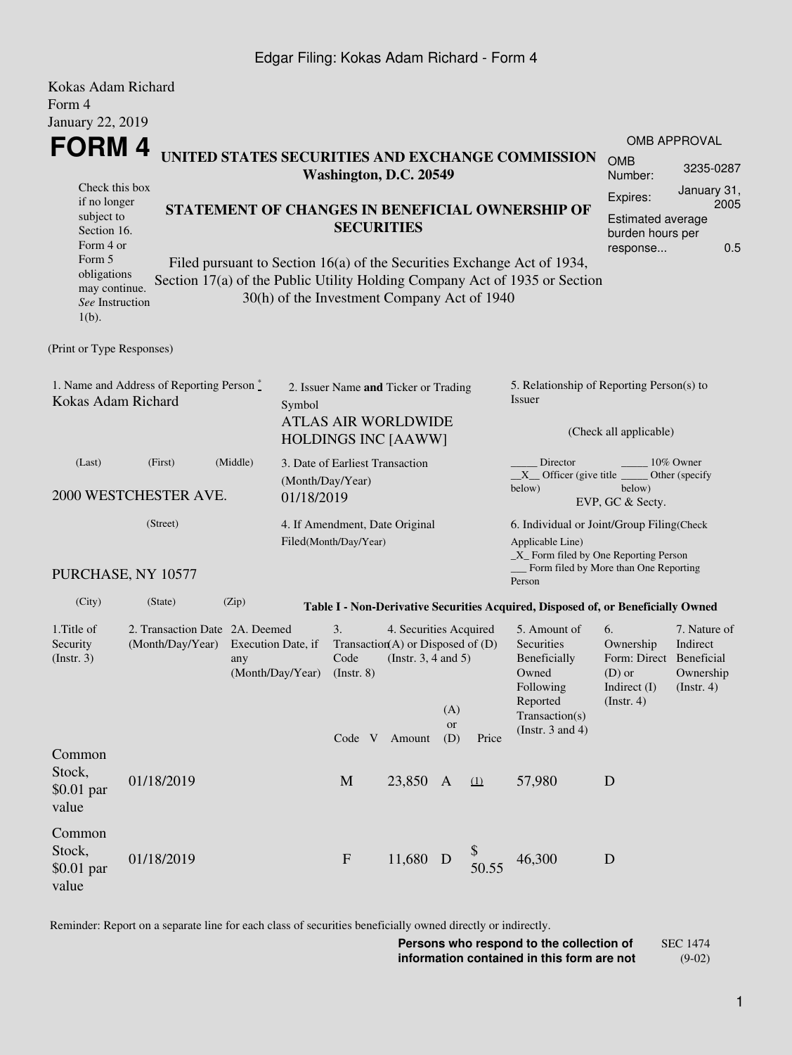### Edgar Filing: Kokas Adam Richard - Form 4

| Kokas Adam Richard                                                                                                                            |                                |                                                                                                  |  |                                                         |                                                                                       |                                                                               |                                                                  |                                                                                                                                                       |                                                                              |                                                                    |  |
|-----------------------------------------------------------------------------------------------------------------------------------------------|--------------------------------|--------------------------------------------------------------------------------------------------|--|---------------------------------------------------------|---------------------------------------------------------------------------------------|-------------------------------------------------------------------------------|------------------------------------------------------------------|-------------------------------------------------------------------------------------------------------------------------------------------------------|------------------------------------------------------------------------------|--------------------------------------------------------------------|--|
| Form 4                                                                                                                                        |                                |                                                                                                  |  |                                                         |                                                                                       |                                                                               |                                                                  |                                                                                                                                                       |                                                                              |                                                                    |  |
| January 22, 2019                                                                                                                              |                                |                                                                                                  |  |                                                         |                                                                                       |                                                                               |                                                                  |                                                                                                                                                       |                                                                              |                                                                    |  |
| FORM 4                                                                                                                                        |                                |                                                                                                  |  |                                                         |                                                                                       |                                                                               |                                                                  |                                                                                                                                                       | <b>OMB APPROVAL</b><br><b>OMB</b>                                            |                                                                    |  |
| UNITED STATES SECURITIES AND EXCHANGE COMMISSION<br>Washington, D.C. 20549                                                                    |                                |                                                                                                  |  |                                                         |                                                                                       |                                                                               |                                                                  |                                                                                                                                                       |                                                                              | 3235-0287<br>January 31,                                           |  |
|                                                                                                                                               | Check this box<br>if no longer |                                                                                                  |  |                                                         |                                                                                       |                                                                               |                                                                  |                                                                                                                                                       |                                                                              |                                                                    |  |
| STATEMENT OF CHANGES IN BENEFICIAL OWNERSHIP OF<br>subject to<br><b>SECURITIES</b><br>Section 16.<br>Form 4 or                                |                                |                                                                                                  |  |                                                         |                                                                                       |                                                                               | 2005<br>Estimated average<br>burden hours per<br>0.5<br>response |                                                                                                                                                       |                                                                              |                                                                    |  |
| Form 5<br>obligations<br>may continue.<br>See Instruction<br>$1(b)$ .                                                                         |                                |                                                                                                  |  | 30(h) of the Investment Company Act of 1940             |                                                                                       |                                                                               |                                                                  | Filed pursuant to Section 16(a) of the Securities Exchange Act of 1934,<br>Section 17(a) of the Public Utility Holding Company Act of 1935 or Section |                                                                              |                                                                    |  |
| (Print or Type Responses)                                                                                                                     |                                |                                                                                                  |  |                                                         |                                                                                       |                                                                               |                                                                  |                                                                                                                                                       |                                                                              |                                                                    |  |
| 1. Name and Address of Reporting Person*<br>Kokas Adam Richard                                                                                | Symbol                         | 2. Issuer Name and Ticker or Trading<br><b>ATLAS AIR WORLDWIDE</b><br><b>HOLDINGS INC [AAWW]</b> |  |                                                         |                                                                                       | 5. Relationship of Reporting Person(s) to<br>Issuer<br>(Check all applicable) |                                                                  |                                                                                                                                                       |                                                                              |                                                                    |  |
| (Middle)<br>(First)<br>(Last)                                                                                                                 |                                |                                                                                                  |  | 3. Date of Earliest Transaction                         |                                                                                       |                                                                               |                                                                  | Director<br>10% Owner                                                                                                                                 |                                                                              |                                                                    |  |
| 2000 WESTCHESTER AVE.<br>01/18/2019                                                                                                           |                                |                                                                                                  |  | (Month/Day/Year)                                        |                                                                                       |                                                                               |                                                                  | $X$ Officer (give title $\overline{\phantom{a}}$<br>Other (specify<br>below)<br>below)<br>EVP, GC & Secty.                                            |                                                                              |                                                                    |  |
| (Street)                                                                                                                                      |                                |                                                                                                  |  | 4. If Amendment, Date Original<br>Filed(Month/Day/Year) |                                                                                       |                                                                               |                                                                  | 6. Individual or Joint/Group Filing(Check<br>Applicable Line)<br>_X_ Form filed by One Reporting Person                                               |                                                                              |                                                                    |  |
|                                                                                                                                               | PURCHASE, NY 10577             |                                                                                                  |  |                                                         |                                                                                       |                                                                               |                                                                  | Form filed by More than One Reporting<br>Person                                                                                                       |                                                                              |                                                                    |  |
| (City)                                                                                                                                        | (State)                        | (Zip)                                                                                            |  |                                                         |                                                                                       |                                                                               |                                                                  | Table I - Non-Derivative Securities Acquired, Disposed of, or Beneficially Owned                                                                      |                                                                              |                                                                    |  |
| 1. Title of<br>2. Transaction Date 2A. Deemed<br>Security<br>(Month/Day/Year)<br>Execution Date, if<br>(Insert. 3)<br>any<br>(Month/Day/Year) |                                |                                                                                                  |  | 3.<br>Code<br>$($ Instr. 8 $)$                          | 4. Securities Acquired<br>Transaction(A) or Disposed of $(D)$<br>(Insert. 3, 4 and 5) | (A)<br><b>or</b>                                                              |                                                                  | 5. Amount of<br>Securities<br>Beneficially<br>Owned<br>Following<br>Reported<br>Transaction(s)<br>(Instr. $3$ and $4$ )                               | 6.<br>Ownership<br>Form: Direct<br>$(D)$ or<br>Indirect $(I)$<br>(Insert. 4) | 7. Nature of<br>Indirect<br>Beneficial<br>Ownership<br>(Insert. 4) |  |
| Common<br>Stock,<br>$$0.01$ par<br>value                                                                                                      | 01/18/2019                     |                                                                                                  |  | Code V Amount<br>M                                      | 23,850 A                                                                              | (D)                                                                           | Price<br>$\Omega$                                                | 57,980                                                                                                                                                | D                                                                            |                                                                    |  |
| Common<br>Stock,<br>\$0.01 par<br>value                                                                                                       | 01/18/2019                     |                                                                                                  |  | $\mathbf{F}$                                            | 11,680 D                                                                              |                                                                               | 50.55                                                            | 46,300                                                                                                                                                | D                                                                            |                                                                    |  |

Reminder: Report on a separate line for each class of securities beneficially owned directly or indirectly.

**Persons who respond to the collection of information contained in this form are not** SEC 1474 (9-02)

1